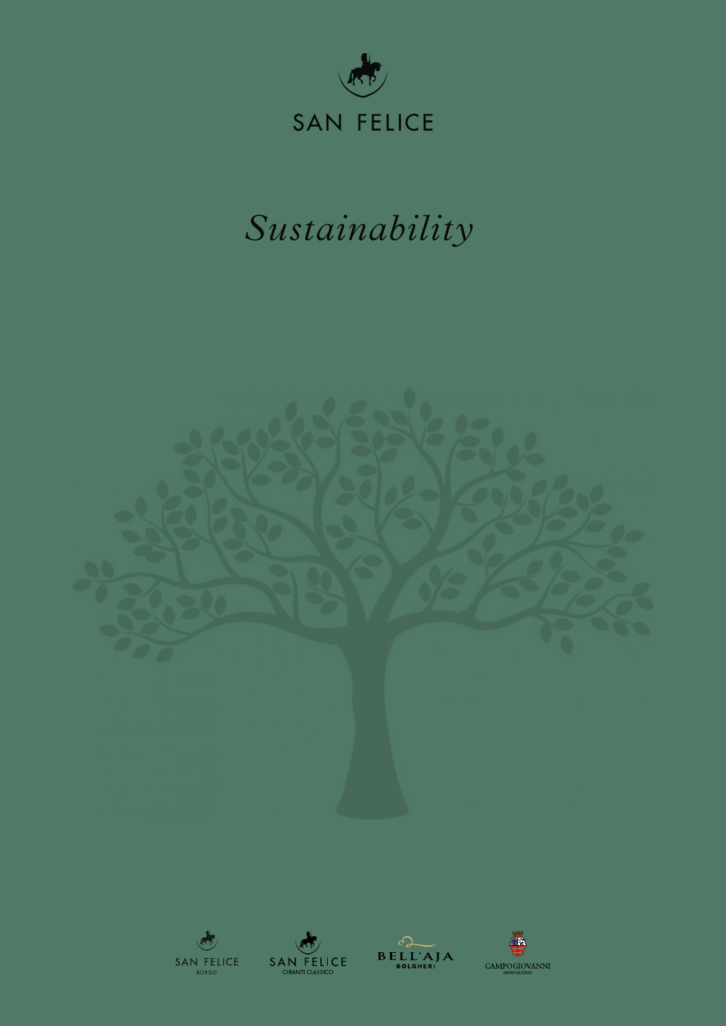

# *Sustainability*



SAN FELICE





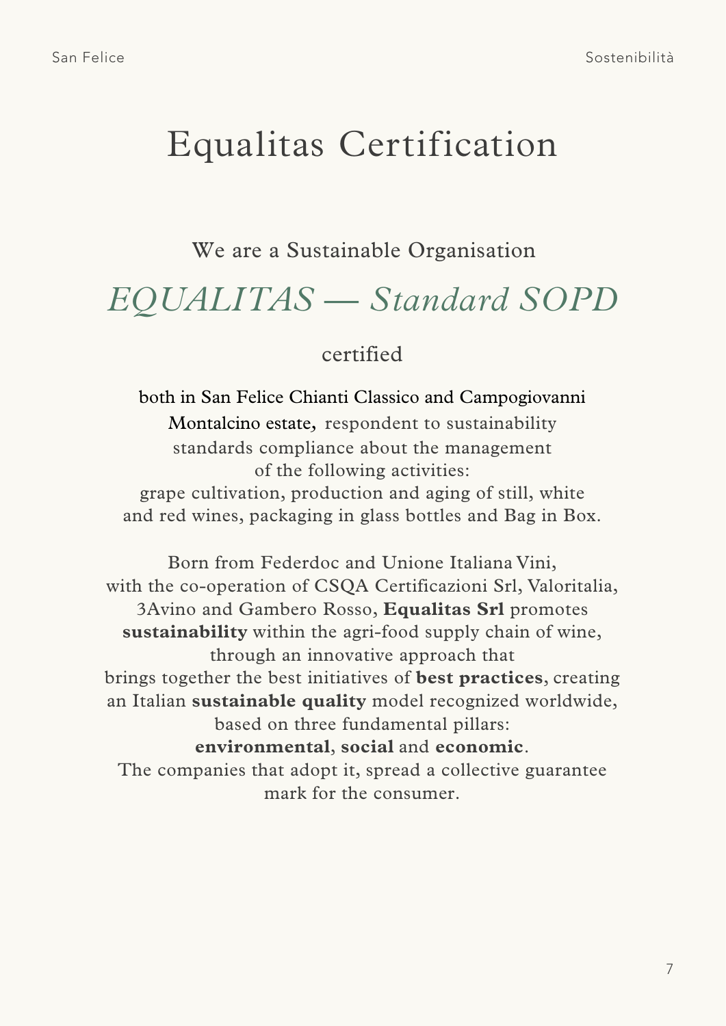## Equalitas Certification

We are a Sustainable Organisation

### *EQUALITAS — Standard SOPD*

### certified

both in San Felice Chianti Classico and Campogiovanni Montalcino estate*,* respondent to sustainability standards compliance about the management of the following activities: grape cultivation, production and aging of still, white and red wines, packaging in glass bottles and Bag in Box.

Born from Federdoc and Unione Italiana Vini, with the co-operation of CSQA Certificazioni Srl, Valoritalia, 3Avino and Gambero Rosso, **Equalitas Srl** promotes **sustainability** within the agri-food supply chain of wine, through an innovative approach that brings together the best initiatives of **best practices**, creating an Italian **sustainable quality** model recognized worldwide, based on three fundamental pillars: **environmental**, **social** and **economic**. The companies that adopt it, spread a collective guarantee mark for the consumer.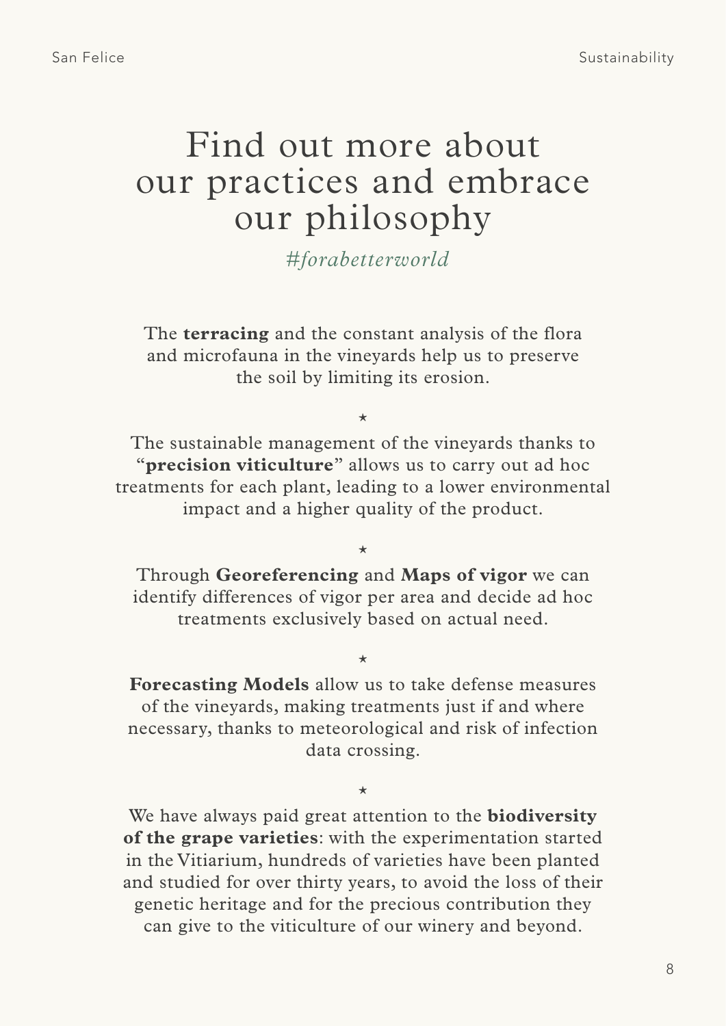## Find out more about our practices and embrace our philosophy

 *#forabetterworld*

The **terracing** and the constant analysis of the flora and microfauna in the vineyards help us to preserve the soil by limiting its erosion.

 $\star$ 

The sustainable management of the vineyards thanks to "**precision viticulture**" allows us to carry out ad hoc treatments for each plant, leading to a lower environmental impact and a higher quality of the product.

 $\star$ 

Through **Georeferencing** and **Maps of vigor** we can identify differences of vigor per area and decide ad hoc treatments exclusively based on actual need.

#### $\star$

**Forecasting Models** allow us to take defense measures of the vineyards, making treatments just if and where necessary, thanks to meteorological and risk of infection data crossing.

#### \*

We have always paid great attention to the **biodiversity of the grape varieties**: with the experimentation started in the Vitiarium, hundreds of varieties have been planted and studied for over thirty years, to avoid the loss of their genetic heritage and for the precious contribution they can give to the viticulture of our winery and beyond.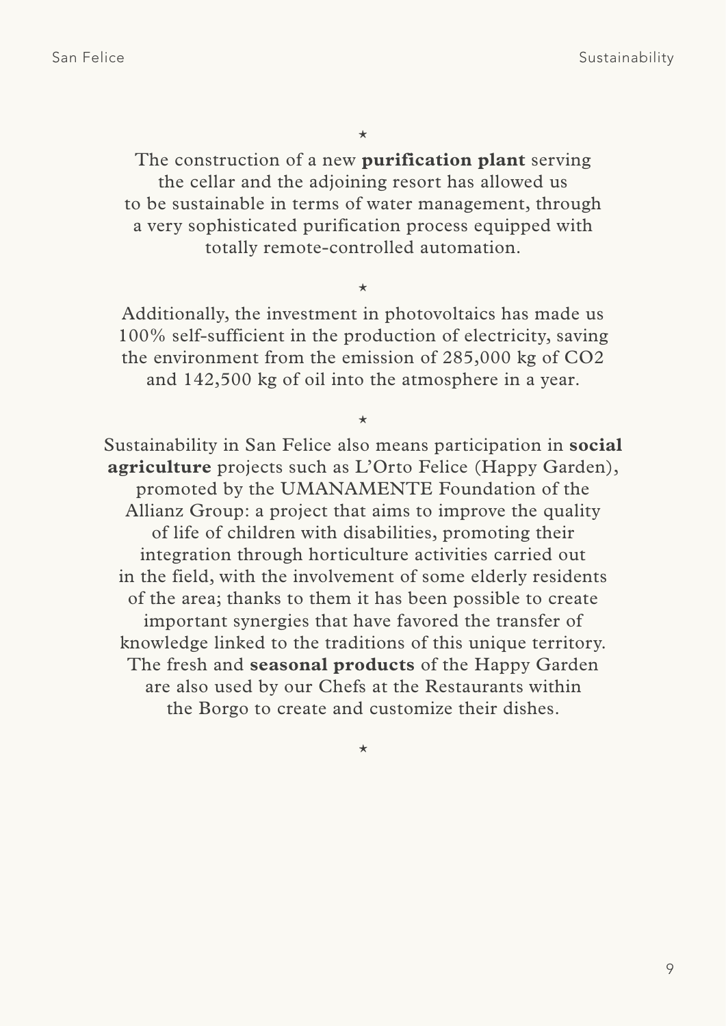$\star$ 

The construction of a new **purification plant** serving the cellar and the adjoining resort has allowed us to be sustainable in terms of water management, through a very sophisticated purification process equipped with totally remote-controlled automation.

 $\star$ 

Additionally, the investment in photovoltaics has made us 100% self-sufficient in the production of electricity, saving the environment from the emission of 285,000 kg of CO2 and 142,500 kg of oil into the atmosphere in a year.

 $\star$ 

Sustainability in San Felice also means participation in **social agriculture** projects such as L'Orto Felice (Happy Garden), promoted by the UMANAMENTE Foundation of the Allianz Group: a project that aims to improve the quality of life of children with disabilities, promoting their integration through horticulture activities carried out in the field, with the involvement of some elderly residents of the area; thanks to them it has been possible to create important synergies that have favored the transfer of knowledge linked to the traditions of this unique territory. The fresh and **seasonal products** of the Happy Garden are also used by our Chefs at the Restaurants within the Borgo to create and customize their dishes.

 $\star$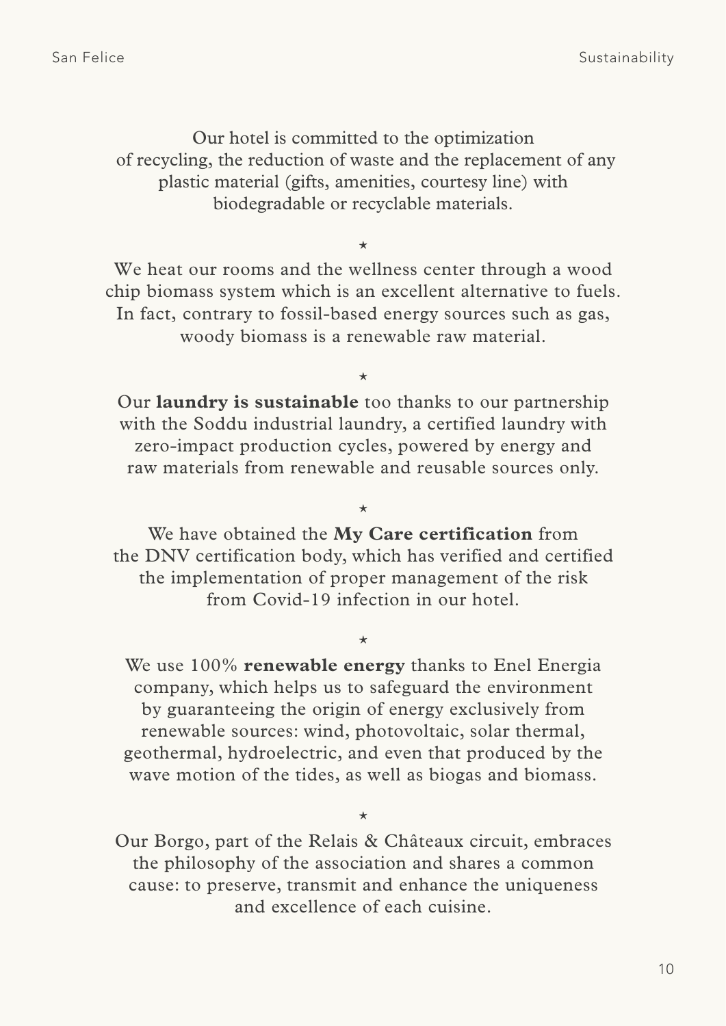San Felice Sustainability

Our hotel is committed to the optimization of recycling, the reduction of waste and the replacement of any plastic material (gifts, amenities, courtesy line) with biodegradable or recyclable materials.

\*

We heat our rooms and the wellness center through a wood chip biomass system which is an excellent alternative to fuels. In fact, contrary to fossil-based energy sources such as gas, woody biomass is a renewable raw material.

\*

Our **laundry is sustainable** too thanks to our partnership with the Soddu industrial laundry, a certified laundry with zero-impact production cycles, powered by energy and raw materials from renewable and reusable sources only.

 $\overline{\phantom{a}}$ 

We have obtained the **My Care certification** from the DNV certification body, which has verified and certified the implementation of proper management of the risk from Covid-19 infection in our hotel.

#### \*

We use 100% **renewable energy** thanks to Enel Energia company, which helps us to safeguard the environment by guaranteeing the origin of energy exclusively from renewable sources: wind, photovoltaic, solar thermal, geothermal, hydroelectric, and even that produced by the wave motion of the tides, as well as biogas and biomass.

Our Borgo, part of the Relais & Châteaux circuit, embraces the philosophy of the association and shares a common cause: to preserve, transmit and enhance the uniqueness and excellence of each cuisine.

\*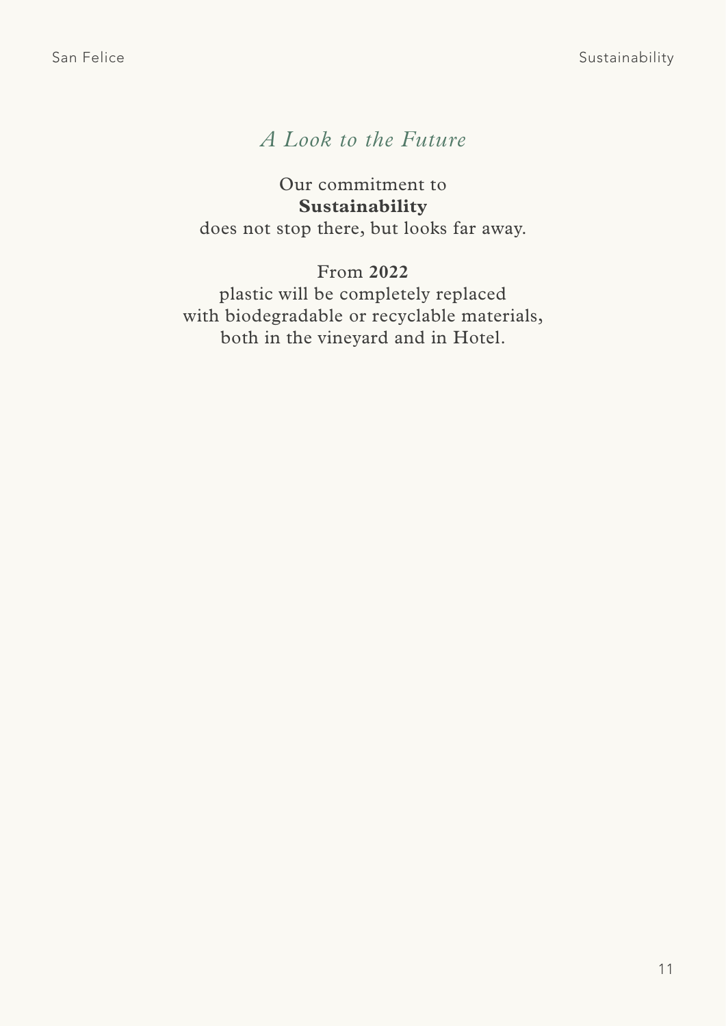### *A Look to the Future*

#### Our commitment to **Sustainability** does not stop there, but looks far away.

#### From **2022**

plastic will be completely replaced with biodegradable or recyclable materials, both in the vineyard and in Hotel.